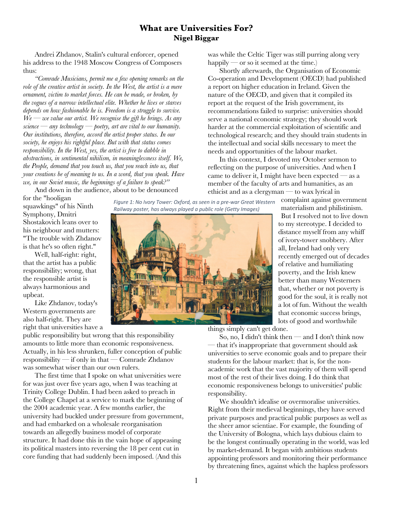## **What are Universities For? Nigel Biggar**

Andrei Zhdanov, Stalin's cultural enforcer, opened his address to the 1948 Moscow Congress of Composers thus:

*"Comrade Musicians, permit me a few opening remarks on the role of the creative artist in society. In the West, the artist is a mere ornament, victim to market forces. He can be made, or broken, by the vogues of a narrow intellectual elite. Whether he lives or starves depends on how fashionable he is. Freedom is a struggle to survive. We — we value our artist. We recognise the gift he brings. As any science — any technology — poetry, art are vital to our humanity. Our institutions, therefore, accord the artist proper status. In our society, he enjoys his rightful place. But with that status comes responsibility. In the West, yes, the artist is free to dabble in abstractions, in sentimental nihilism, in meaninglessness itself. We, the People, demand that you touch us, that you reach into us, that your creations be of meaning to us. In a word, that you speak. Have we, in our Soviet music, the beginnings of a failure to speak?"*

And down in the audience, about to be denounced

for the "hooligan squawkings" of his Ninth Symphony, Dmitri Shostakovich leans over to his neighbour and mutters: "The trouble with Zhdanov is that he's so often right."

Well, half-right: right, that the artist has a public responsibility; wrong, that the responsible artist is always harmonious and upbeat.

Like Zhdanov, today's Western governments are also half-right. They are right that universities have a

public responsibility but wrong that this responsibility amounts to little more than economic responsiveness. Actually, in his less shrunken, fuller conception of public responsibility — if only in that — Comrade Zhdanov was somewhat wiser than our own rulers.

The first time that I spoke on what universities were for was just over five years ago, when I was teaching at Trinity College Dublin. I had been asked to preach in the College Chapel at a service to mark the beginning of the 2004 academic year. A few months earlier, the university had buckled under pressure from government, and had embarked on a wholesale reorganisation towards an allegedly business model of corporate structure. It had done this in the vain hope of appeasing its political masters into reversing the 18 per cent cut in core funding that had suddenly been imposed. (And this

*Figure 1: No Ivory Tower: Oxford, as seen in a pre-war Great Western Railway poster, has always played a public role (Getty Images)*



was while the Celtic Tiger was still purring along very happily — or so it seemed at the time.)

Shortly afterwards, the Organisation of Economic Co-operation and Development (OECD) had published a report on higher education in Ireland. Given the nature of the OECD, and given that it compiled its report at the request of the Irish government, its recommendations failed to surprise: universities should serve a national economic strategy; they should work harder at the commercial exploitation of scientific and technological research; and they should train students in the intellectual and social skills necessary to meet the needs and opportunities of the labour market.

In this context, I devoted my October sermon to reflecting on the purpose of universities. And when I came to deliver it, I might have been expected  $-$  as a member of the faculty of arts and humanities, as an ethicist and as a clergyman — to wax lyrical in

> complaint against government materialism and philistinism.

But I resolved not to live down to my stereotype. I decided to distance myself from any whiff of ivory-tower snobbery. After all, Ireland had only very recently emerged out of decades of relative and humiliating poverty, and the Irish knew better than many Westerners that, whether or not poverty is good for the soul, it is really not a lot of fun. Without the wealth that economic success brings, lots of good and worthwhile

things simply can't get done.

So, no, I didn't think then — and I don't think now — that it's inappropriate that government should ask universities to serve economic goals and to prepare their students for the labour market: that is, for the nonacademic work that the vast majority of them will spend most of the rest of their lives doing. I do think that economic responsiveness belongs to universities' public responsibility.

We shouldn't idealise or overmoralise universities. Right from their medieval beginnings, they have served private purposes and practical public purposes as well as the sheer amor scientiae. For example, the founding of the University of Bologna, which lays dubious claim to be the longest continually operating in the world, was led by market-demand. It began with ambitious students appointing professors and monitoring their performance by threatening fines, against which the hapless professors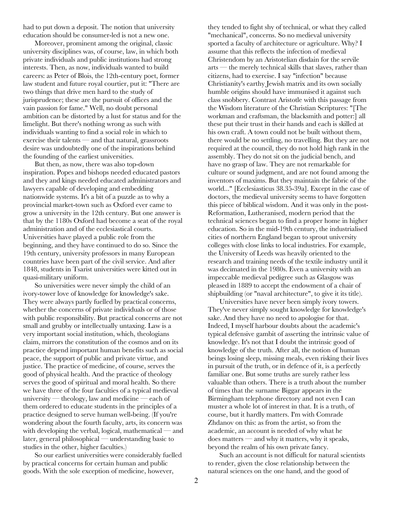had to put down a deposit. The notion that university education should be consumer-led is not a new one.

Moreover, prominent among the original, classic university disciplines was, of course, law, in which both private individuals and public institutions had strong interests. Then, as now, individuals wanted to build careers: as Peter of Blois, the 12th-century poet, former law student and future royal courtier, put it: "There are two things that drive men hard to the study of jurisprudence; these are the pursuit of offices and the vain passion for fame." Well, no doubt personal ambition can be distorted by a lust for status and for the limelight. But there's nothing wrong as such with individuals wanting to find a social role in which to exercise their talents — and that natural, grassroots desire was undoubtedly one of the inspirations behind the founding of the earliest universities.

But then, as now, there was also top-down inspiration. Popes and bishops needed educated pastors and they and kings needed educated administrators and lawyers capable of developing and embedding nationwide systems. It's a bit of a puzzle as to why a provincial market-town such as Oxford ever came to grow a university in the 12th century. But one answer is that by the 1180s Oxford had become a seat of the royal administration and of the ecclesiastical courts. Universities have played a public role from the beginning, and they have continued to do so. Since the 19th century, university professors in many European countries have been part of the civil service. And after 1848, students in Tsarist universities were kitted out in quasi-military uniform.

So universities were never simply the child of an ivory-tower love of knowledge for knowledge's sake. They were always partly fuelled by practical concerns, whether the concerns of private individuals or of those with public responsibility. But practical concerns are not small and grubby or intellectually untaxing. Law is a very important social institution, which, theologians claim, mirrors the constitution of the cosmos and on its practice depend important human benefits such as social peace, the support of public and private virtue, and justice. The practice of medicine, of course, serves the good of physical health. And the practice of theology serves the good of spiritual and moral health. So there we have three of the four faculties of a typical medieval university — theology, law and medicine — each of them ordered to educate students in the principles of a practice designed to serve human well-being. (If you're wondering about the fourth faculty, arts, its concern was with developing the verbal, logical, mathematical — and later, general philosophical — understanding basic to studies in the other, higher faculties.)

So our earliest universities were considerably fuelled by practical concerns for certain human and public goods. With the sole exception of medicine, however,

they tended to fight shy of technical, or what they called "mechanical", concerns. So no medieval university sported a faculty of architecture or agriculture. Why? I assume that this reflects the infection of medieval Christendom by an Aristotelian disdain for the servile arts — the merely technical skills that slaves, rather than citizens, had to exercise. I say "infection" because Christianity's earthy Jewish matrix and its own socially humble origins should have immunised it against such class snobbery. Contrast Aristotle with this passage from the Wisdom literature of the Christian Scriptures: "[The workman and craftsman, the blacksmith and potter:] all these put their trust in their hands and each is skilled at his own craft. A town could not be built without them, there would be no settling, no travelling. But they are not required at the council, they do not hold high rank in the assembly. They do not sit on the judicial bench, and have no grasp of law. They are not remarkable for culture or sound judgment, and are not found among the inventors of maxims. But they maintain the fabric of the world..." [Ecclesiasticus 38.35-39a]. Except in the case of doctors, the medieval university seems to have forgotten this piece of biblical wisdom. And it was only in the post-Reformation, Lutheranised, modern period that the technical sciences began to find a proper home in higher education. So in the mid-19th century, the industrialised cities of northern England began to sprout university colleges with close links to local industries. For example, the University of Leeds was heavily oriented to the research and training needs of the textile industry until it was decimated in the 1980s. Even a university with an impeccable medieval pedigree such as Glasgow was pleased in 1889 to accept the endowment of a chair of shipbuilding (or "naval architecture", to give it its title).

Universities have never been simply ivory towers. They've never simply sought knowledge for knowledge's sake. And they have no need to apologise for that. Indeed, I myself harbour doubts about the academic's typical defensive gambit of asserting the intrinsic value of knowledge. It's not that I doubt the intrinsic good of knowledge of the truth. After all, the notion of human beings losing sleep, missing meals, even risking their lives in pursuit of the truth, or in defence of it, is a perfectly familiar one. But some truths are surely rather less valuable than others. There is a truth about the number of times that the surname Biggar appears in the Birmingham telephone directory and not even I can muster a whole lot of interest in that. It is a truth, of course, but it hardly matters. I'm with Comrade Zhdanov on this: as from the artist, so from the academic, an account is needed of why what he does matters — and why it matters, why it speaks, beyond the realm of his own private fancy.

Such an account is not difficult for natural scientists to render, given the close relationship between the natural sciences on the one hand, and the good of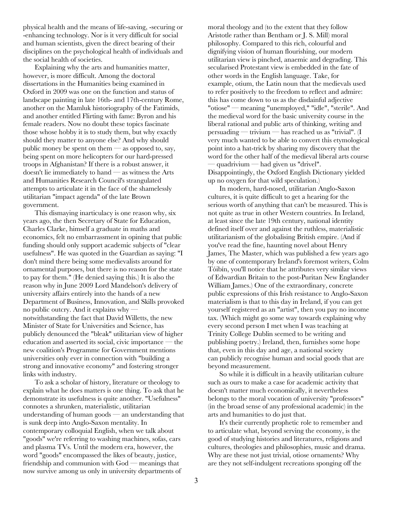physical health and the means of life-saving, -securing or -enhancing technology. Nor is it very difficult for social and human scientists, given the direct bearing of their disciplines on the psychological health of individuals and the social health of societies.

Explaining why the arts and humanities matter, however, is more difficult. Among the doctoral dissertations in the Humanities being examined in Oxford in 2009 was one on the function and status of landscape painting in late 16th- and 17th-century Rome, another on the Mamluk historiography of the Fatimids, and another entitled Flirting with fame: Byron and his female readers. Now no doubt these topics fascinate those whose hobby it is to study them, but why exactly should they matter to anyone else? And why should public money be spent on them  $\sim$  as opposed to, say, being spent on more helicopters for our hard-pressed troops in Afghanistan? If there is a robust answer, it doesn't lie immediately to hand — as witness the Arts and Humanities Research Council's strangulated attempts to articulate it in the face of the shamelessly utilitarian "impact agenda" of the late Brown government.

This dismaying inarticulacy is one reason why, six years ago, the then Secretary of State for Education, Charles Clarke, himself a graduate in maths and economics, felt no embarrassment in opining that public funding should only support academic subjects of "clear usefulness". He was quoted in the Guardian as saying: "I don't mind there being some medievalists around for ornamental purposes, but there is no reason for the state to pay for them." (He denied saying this.) It is also the reason why in June 2009 Lord Mandelson's delivery of university affairs entirely into the hands of a new Department of Business, Innovation, and Skills provoked no public outcry. And it explains why notwithstanding the fact that David Willetts, the new Minister of State for Universities and Science, has publicly denounced the "bleak" utilitarian view of higher education and asserted its social, civic importance — the new coalition's Programme for Government mentions universities only ever in connection with "building a strong and innovative economy" and fostering stronger links with industry.

To ask a scholar of history, literature or theology to explain what he does matters is one thing. To ask that he demonstrate its usefulness is quite another. "Usefulness" connotes a shrunken, materialistic, utilitarian understanding of human goods — an understanding that is sunk deep into Anglo-Saxon mentality. In contemporary colloquial English, when we talk about "goods" we're referring to washing machines, sofas, cars and plasma TVs. Until the modern era, however, the word "goods" encompassed the likes of beauty, justice, friendship and communion with God — meanings that now survive among us only in university departments of

moral theology and (to the extent that they follow Aristotle rather than Bentham or J. S. Mill) moral philosophy. Compared to this rich, colourful and dignifying vision of human flourishing, our modern utilitarian view is pinched, anaemic and degrading. This secularised Protestant view is embedded in the fate of other words in the English language. Take, for example, otium, the Latin noun that the medievals used to refer positively to the freedom to reflect and admire: this has come down to us as the disdainful adjective "otiose" — meaning "unemployed," "idle", "sterile". And the medieval word for the basic university course in the liberal rational and public arts of thinking, writing and persuading — trivium — has reached us as "trivial". (I very much wanted to be able to convert this etymological point into a hat-trick by sharing my discovery that the word for the other half of the medieval liberal arts course  $-$  quadrivium  $-$  had given us "drivel". Disappointingly, the Oxford English Dictionary yielded up no oxygen for that wild speculation.)

In modern, hard-nosed, utilitarian Anglo-Saxon cultures, it is quite difficult to get a hearing for the serious worth of anything that can't be measured. This is not quite as true in other Western countries. In Ireland, at least since the late 19th century, national identity defined itself over and against the ruthless, materialistic utilitarianism of the globalising British empire. (And if you've read the fine, haunting novel about Henry James, The Master, which was published a few years ago by one of contemporary Ireland's foremost writers, Colm Tóibín, you'll notice that he attributes very similar views of Edwardian Britain to the post-Puritan New Englander William James.) One of the extraordinary, concrete public expressions of this Irish resistance to Anglo-Saxon materialism is that to this day in Ireland, if you can get yourself registered as an "artist", then you pay no income tax. (Which might go some way towards explaining why every second person I met when I was teaching at Trinity College Dublin seemed to be writing and publishing poetry.) Ireland, then, furnishes some hope that, even in this day and age, a national society can publicly recognise human and social goods that are beyond measurement.

So while it is difficult in a heavily utilitarian culture such as ours to make a case for academic activity that doesn't matter much economically, it nevertheless belongs to the moral vocation of university "professors" (in the broad sense of any professional academic) in the arts and humanities to do just that.

It's their currently prophetic role to remember and to articulate what, beyond serving the economy, is the good of studying histories and literatures, religions and cultures, theologies and philosophies, music and drama. Why are these not just trivial, otiose ornaments? Why are they not self-indulgent recreations sponging off the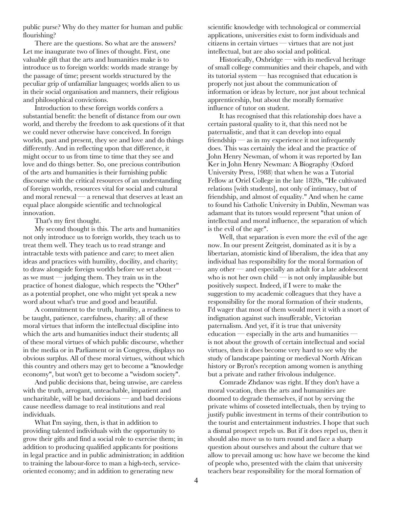public purse? Why do they matter for human and public flourishing?

There are the questions. So what are the answers? Let me inaugurate two of lines of thought. First, one valuable gift that the arts and humanities make is to introduce us to foreign worlds: worlds made strange by the passage of time; present worlds structured by the peculiar grip of unfamiliar languages; worlds alien to us in their social organisation and manners, their religious and philosophical convictions.

Introduction to these foreign worlds confers a substantial benefit: the benefit of distance from our own world, and thereby the freedom to ask questions of it that we could never otherwise have conceived. In foreign worlds, past and present, they see and love and do things differently. And in reflecting upon that difference, it might occur to us from time to time that they see and love and do things better. So, one precious contribution of the arts and humanities is their furnishing public discourse with the critical resources of an understanding of foreign worlds, resources vital for social and cultural and moral renewal — a renewal that deserves at least an equal place alongside scientific and technological innovation.

That's my first thought.

My second thought is this. The arts and humanities not only introduce us to foreign worlds, they teach us to treat them well. They teach us to read strange and intractable texts with patience and care; to meet alien ideas and practices with humility, docility, and charity; to draw alongside foreign worlds before we set about as we must  $\rightarrow$  judging them. They train us in the practice of honest dialogue, which respects the "Other" as a potential prophet, one who might yet speak a new word about what's true and good and beautiful.

A commitment to the truth, humility, a readiness to be taught, patience, carefulness, charity: all of these moral virtues that inform the intellectual discipline into which the arts and humanities induct their students; all of these moral virtues of which public discourse, whether in the media or in Parliament or in Congress, displays no obvious surplus. All of these moral virtues, without which this country and others may get to become a "knowledge economy", but won't get to become a "wisdom society".

And public decisions that, being unwise, are careless with the truth, arrogant, unteachable, impatient and uncharitable, will be bad decisions — and bad decisions cause needless damage to real institutions and real individuals.

What I'm saying, then, is that in addition to providing talented individuals with the opportunity to grow their gifts and find a social role to exercise them; in addition to producing qualified applicants for positions in legal practice and in public administration; in addition to training the labour-force to man a high-tech, serviceoriented economy; and in addition to generating new

scientific knowledge with technological or commercial applications, universities exist to form individuals and citizens in certain virtues — virtues that are not just intellectual, but are also social and political.

Historically, Oxbridge — with its medieval heritage of small college communities and their chapels, and with its tutorial system — has recognised that education is properly not just about the communication of information or ideas by lecture, nor just about technical apprenticeship, but about the morally formative influence of tutor on student.

It has recognised that this relationship does have a certain pastoral quality to it, that this need not be paternalistic, and that it can develop into equal friendship — as in my experience it not infrequently does. This was certainly the ideal and the practice of John Henry Newman, of whom it was reported by Ian Ker in John Henry Newman: A Biography (Oxford University Press, 1988) that when he was a Tutorial Fellow at Oriel College in the late 1820s, "He cultivated relations [with students], not only of intimacy, but of friendship, and almost of equality." And when he came to found his Catholic University in Dublin, Newman was adamant that its tutors would represent "that union of intellectual and moral influence, the separation of which is the evil of the age".

Well, that separation is even more the evil of the age now. In our present Zeitgeist, dominated as it is by a libertarian, atomistic kind of liberalism, the idea that any individual has responsibility for the moral formation of any other — and especially an adult for a late adolescent who is not her own child  $-$  is not only implausible but positively suspect. Indeed, if I were to make the suggestion to my academic colleagues that they have a responsibility for the moral formation of their students, I'd wager that most of them would meet it with a snort of indignation against such insufferable, Victorian paternalism. And yet, if it is true that university education — especially in the arts and humanities is not about the growth of certain intellectual and social virtues, then it does become very hard to see why the study of landscape painting or medieval North African history or Byron's reception among women is anything but a private and rather frivolous indulgence.

Comrade Zhdanov was right. If they don't have a moral vocation, then the arts and humanities are doomed to degrade themselves, if not by serving the private whims of cosseted intellectuals, then by trying to justify public investment in terms of their contribution to the tourist and entertainment industries. I hope that such a dismal prospect repels us. But if it does repel us, then it should also move us to turn round and face a sharp question about ourselves and about the culture that we allow to prevail among us: how have we become the kind of people who, presented with the claim that university teachers bear responsibility for the moral formation of